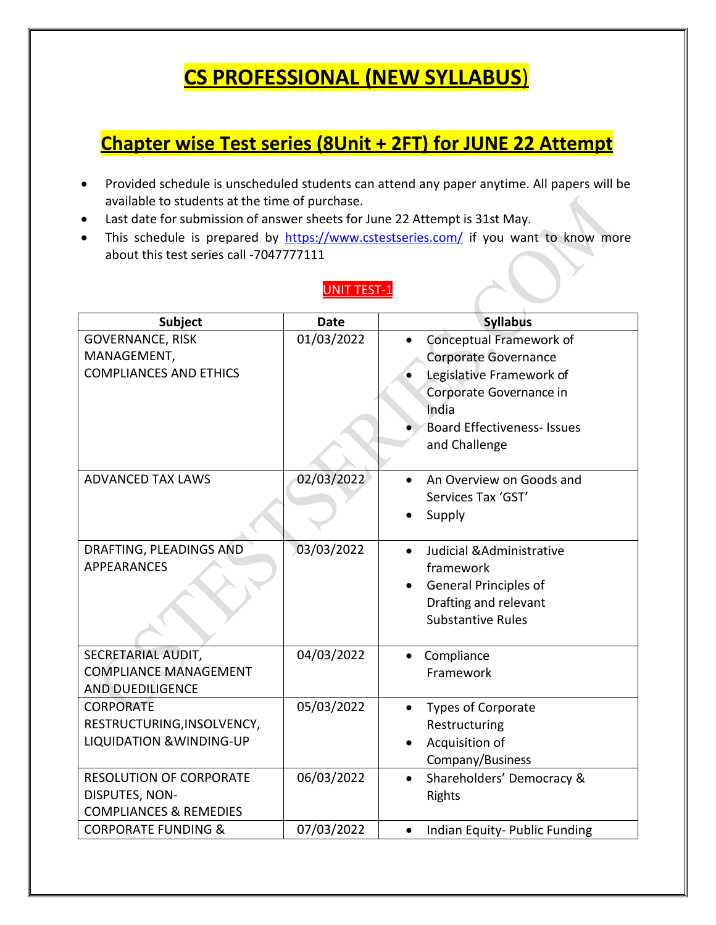# **CS PROFESSIONAL (NEW SYLLABUS**)

# **Chapter wise Test series (8Unit + 2FT) for JUNE 22 Attempt**

- Provided schedule is unscheduled students can attend any paper anytime. All papers will be available to students at the time of purchase.
- Last date for submission of answer sheets for June 22 Attempt is 31st May.
- This schedule is prepared by <https://www.cstestseries.com/> if you want to know more about this test series call -7047777111

| <b>Subject</b>                                                                        | <b>Date</b> | <b>Syllabus</b>                                                                                                                                                        |
|---------------------------------------------------------------------------------------|-------------|------------------------------------------------------------------------------------------------------------------------------------------------------------------------|
| <b>GOVERNANCE, RISK</b><br>MANAGEMENT,<br><b>COMPLIANCES AND ETHICS</b>               | 01/03/2022  | Conceptual Framework of<br>Corporate Governance<br>Legislative Framework of<br>Corporate Governance in<br>India<br><b>Board Effectiveness- Issues</b><br>and Challenge |
| <b>ADVANCED TAX LAWS</b>                                                              | 02/03/2022  | An Overview on Goods and<br>Services Tax 'GST'<br>Supply                                                                                                               |
| DRAFTING, PLEADINGS AND<br><b>APPEARANCES</b>                                         | 03/03/2022  | Judicial & Administrative<br>$\bullet$<br>framework<br><b>General Principles of</b><br>Drafting and relevant<br><b>Substantive Rules</b>                               |
| SECRETARIAL AUDIT,<br><b>COMPLIANCE MANAGEMENT</b><br><b>AND DUEDILIGENCE</b>         | 04/03/2022  | Compliance<br>$\bullet$<br>Framework                                                                                                                                   |
| <b>CORPORATE</b><br>RESTRUCTURING, INSOLVENCY,<br><b>LIQUIDATION &amp; WINDING-UP</b> | 05/03/2022  | Types of Corporate<br>$\bullet$<br>Restructuring<br>Acquisition of<br>Company/Business                                                                                 |
| <b>RESOLUTION OF CORPORATE</b><br>DISPUTES, NON-<br><b>COMPLIANCES &amp; REMEDIES</b> | 06/03/2022  | Shareholders' Democracy &<br>$\bullet$<br><b>Rights</b>                                                                                                                |
| <b>CORPORATE FUNDING &amp;</b>                                                        | 07/03/2022  | Indian Equity- Public Funding<br>$\bullet$                                                                                                                             |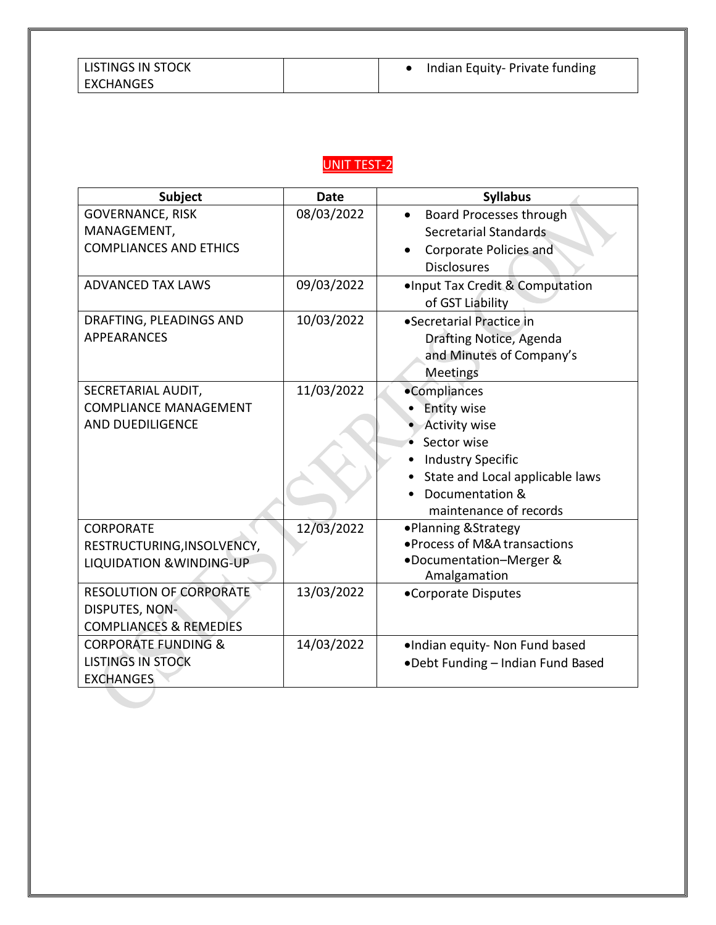| <b>Subject</b>                      | <b>Date</b> | <b>Syllabus</b>                   |
|-------------------------------------|-------------|-----------------------------------|
| GOVERNANCE, RISK                    | 08/03/2022  | Board Processes through           |
| MANAGEMENT,                         |             | Secretarial Standards             |
| <b>COMPLIANCES AND ETHICS</b>       |             | Corporate Policies and            |
|                                     |             | <b>Disclosures</b>                |
| <b>ADVANCED TAX LAWS</b>            | 09/03/2022  | .Input Tax Credit & Computation   |
|                                     |             | of GST Liability                  |
| DRAFTING, PLEADINGS AND             | 10/03/2022  | •Secretarial Practice in          |
| <b>APPEARANCES</b>                  |             | Drafting Notice, Agenda           |
|                                     |             | and Minutes of Company's          |
|                                     |             | Meetings                          |
| SECRETARIAL AUDIT,                  | 11/03/2022  | •Compliances                      |
| <b>COMPLIANCE MANAGEMENT</b>        |             | <b>Entity wise</b>                |
| <b>AND DUEDILIGENCE</b>             |             | <b>Activity wise</b>              |
|                                     |             | Sector wise                       |
|                                     |             | <b>Industry Specific</b>          |
|                                     |             | State and Local applicable laws   |
|                                     |             | Documentation &                   |
|                                     |             | maintenance of records            |
| <b>CORPORATE</b>                    | 12/03/2022  | •Planning & Strategy              |
| RESTRUCTURING, INSOLVENCY,          |             | • Process of M&A transactions     |
| <b>LIQUIDATION &amp; WINDING-UP</b> |             | •Documentation-Merger &           |
|                                     |             | Amalgamation                      |
| <b>RESOLUTION OF CORPORATE</b>      | 13/03/2022  | •Corporate Disputes               |
| DISPUTES, NON-                      |             |                                   |
| <b>COMPLIANCES &amp; REMEDIES</b>   |             |                                   |
| <b>CORPORATE FUNDING &amp;</b>      | 14/03/2022  | .Indian equity- Non Fund based    |
| <b>LISTINGS IN STOCK</b>            |             | .Debt Funding - Indian Fund Based |
| <b>EXCHANGES</b>                    |             |                                   |
|                                     |             |                                   |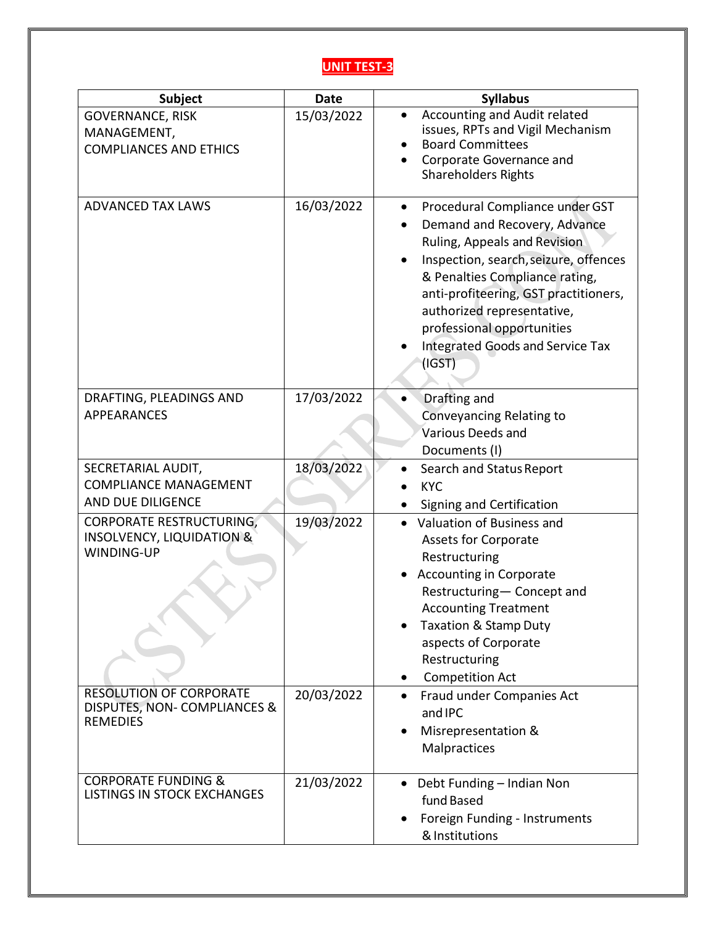| Subject                                                                               | <b>Date</b> | <b>Syllabus</b>                                                                                                                                                                                                                                                                                                                    |
|---------------------------------------------------------------------------------------|-------------|------------------------------------------------------------------------------------------------------------------------------------------------------------------------------------------------------------------------------------------------------------------------------------------------------------------------------------|
| <b>GOVERNANCE, RISK</b><br>MANAGEMENT,<br><b>COMPLIANCES AND ETHICS</b>               | 15/03/2022  | Accounting and Audit related<br>$\bullet$<br>issues, RPTs and Vigil Mechanism<br><b>Board Committees</b><br>Corporate Governance and<br><b>Shareholders Rights</b>                                                                                                                                                                 |
| <b>ADVANCED TAX LAWS</b>                                                              | 16/03/2022  | Procedural Compliance under GST<br>٠<br>Demand and Recovery, Advance<br>Ruling, Appeals and Revision<br>Inspection, search, seizure, offences<br>& Penalties Compliance rating,<br>anti-profiteering, GST practitioners,<br>authorized representative,<br>professional opportunities<br>Integrated Goods and Service Tax<br>(IGST) |
| DRAFTING, PLEADINGS AND<br><b>APPEARANCES</b>                                         | 17/03/2022  | Drafting and<br>Conveyancing Relating to<br>Various Deeds and<br>Documents (I)                                                                                                                                                                                                                                                     |
| SECRETARIAL AUDIT,<br><b>COMPLIANCE MANAGEMENT</b><br>AND DUE DILIGENCE               | 18/03/2022  | Search and Status Report<br><b>KYC</b><br>Signing and Certification                                                                                                                                                                                                                                                                |
| <b>CORPORATE RESTRUCTURING,</b><br><b>INSOLVENCY, LIQUIDATION &amp;</b><br>WINDING-UP | 19/03/2022  | Valuation of Business and<br><b>Assets for Corporate</b><br>Restructuring<br><b>Accounting in Corporate</b><br>Restructuring- Concept and<br><b>Accounting Treatment</b><br><b>Taxation &amp; Stamp Duty</b><br>aspects of Corporate<br>Restructuring<br><b>Competition Act</b>                                                    |
| <b>RESOLUTION OF CORPORATE</b><br>DISPUTES, NON- COMPLIANCES &<br><b>REMEDIES</b>     | 20/03/2022  | Fraud under Companies Act<br>and IPC<br>Misrepresentation &<br>Malpractices                                                                                                                                                                                                                                                        |
| <b>CORPORATE FUNDING &amp;</b><br>LISTINGS IN STOCK EXCHANGES                         | 21/03/2022  | Debt Funding - Indian Non<br>$\bullet$<br>fund Based<br>Foreign Funding - Instruments<br>& Institutions                                                                                                                                                                                                                            |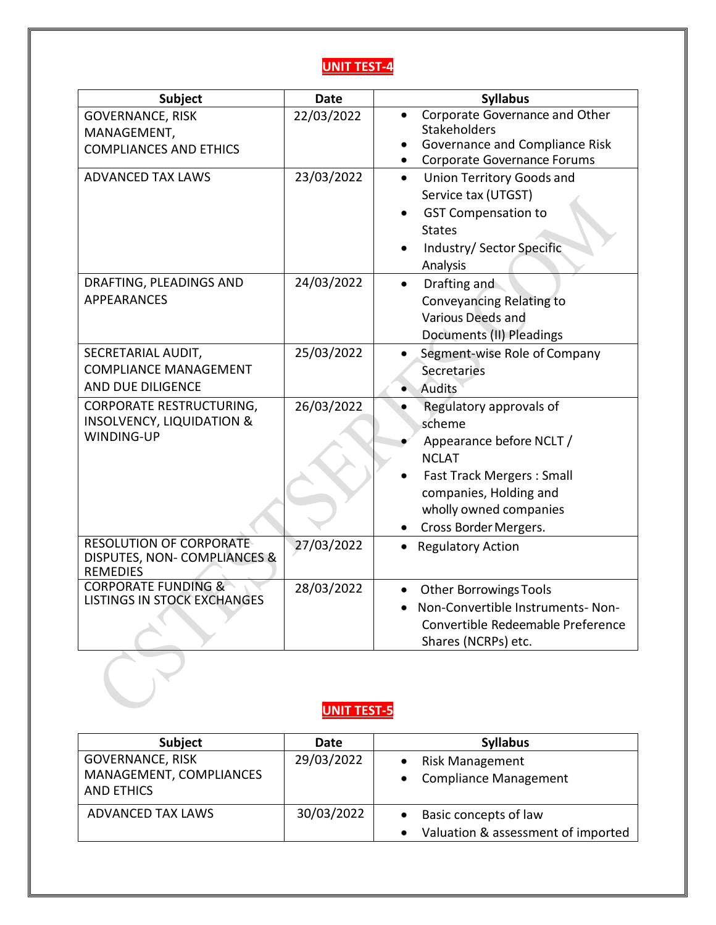

| <b>Subject</b>                                                                        | <b>Date</b> | <b>Syllabus</b>                                                                                                                                                                                |
|---------------------------------------------------------------------------------------|-------------|------------------------------------------------------------------------------------------------------------------------------------------------------------------------------------------------|
| <b>GOVERNANCE, RISK</b><br>MANAGEMENT,<br><b>COMPLIANCES AND ETHICS</b>               | 22/03/2022  | Corporate Governance and Other<br><b>Stakeholders</b><br>Governance and Compliance Risk<br>Corporate Governance Forums<br>$\bullet$                                                            |
| <b>ADVANCED TAX LAWS</b>                                                              | 23/03/2022  | <b>Union Territory Goods and</b><br>$\bullet$<br>Service tax (UTGST)<br><b>GST Compensation to</b><br><b>States</b><br>Industry/ Sector Specific<br>Analysis                                   |
| DRAFTING, PLEADINGS AND<br><b>APPEARANCES</b>                                         | 24/03/2022  | Drafting and<br>Conveyancing Relating to<br>Various Deeds and<br>Documents (II) Pleadings                                                                                                      |
| SECRETARIAL AUDIT,<br><b>COMPLIANCE MANAGEMENT</b><br>AND DUE DILIGENCE               | 25/03/2022  | Segment-wise Role of Company<br>Secretaries<br><b>Audits</b>                                                                                                                                   |
| <b>CORPORATE RESTRUCTURING,</b><br><b>INSOLVENCY, LIQUIDATION &amp;</b><br>WINDING-UP | 26/03/2022  | Regulatory approvals of<br>scheme<br>Appearance before NCLT /<br><b>NCLAT</b><br><b>Fast Track Mergers: Small</b><br>companies, Holding and<br>wholly owned companies<br>Cross Border Mergers. |
| <b>RESOLUTION OF CORPORATE</b><br>DISPUTES, NON- COMPLIANCES &<br><b>REMEDIES</b>     | 27/03/2022  | <b>Regulatory Action</b>                                                                                                                                                                       |
| <b>CORPORATE FUNDING &amp;</b><br><b>LISTINGS IN STOCK EXCHANGES</b>                  | 28/03/2022  | <b>Other Borrowings Tools</b><br>Non-Convertible Instruments-Non-<br>Convertible Redeemable Preference<br>Shares (NCRPs) etc.                                                                  |
|                                                                                       |             |                                                                                                                                                                                                |

| <b>Subject</b>                               | <b>Date</b> | <b>Syllabus</b>                                 |
|----------------------------------------------|-------------|-------------------------------------------------|
| <b>GOVERNANCE, RISK</b>                      | 29/03/2022  | Risk Management                                 |
| MANAGEMENT, COMPLIANCES<br><b>AND ETHICS</b> |             | • Compliance Management                         |
| ADVANCED TAX LAWS                            | 30/03/2022  | Basic concepts of law<br>$\bullet$              |
|                                              |             | Valuation & assessment of imported<br>$\bullet$ |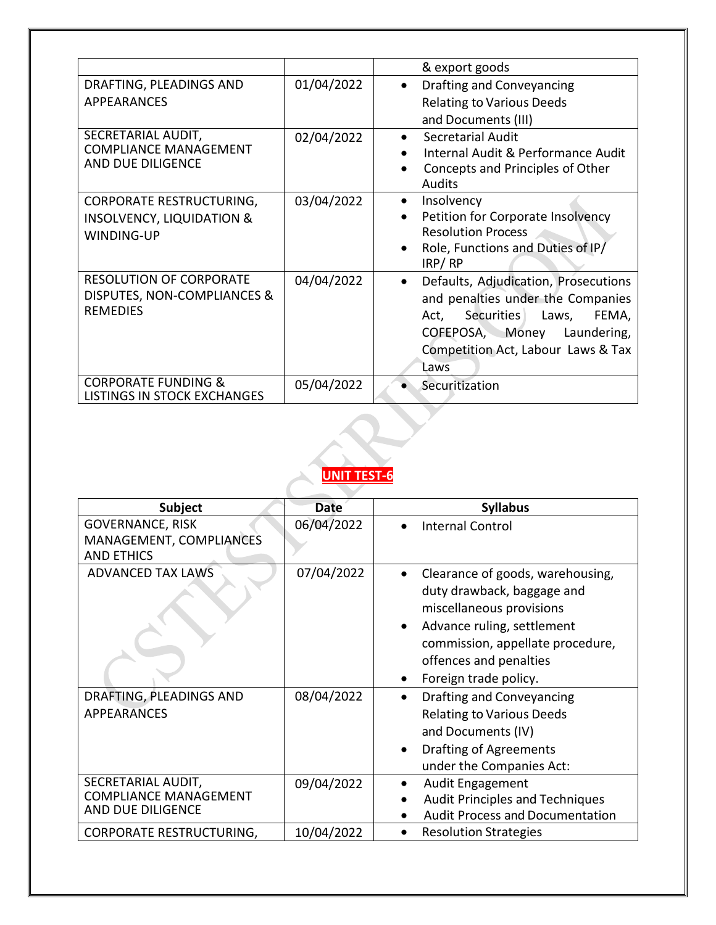|                                                                                              |            | & export goods                                                                                                                                                                                           |
|----------------------------------------------------------------------------------------------|------------|----------------------------------------------------------------------------------------------------------------------------------------------------------------------------------------------------------|
| DRAFTING, PLEADINGS AND<br>APPEARANCES                                                       | 01/04/2022 | Drafting and Conveyancing<br>$\bullet$<br><b>Relating to Various Deeds</b><br>and Documents (III)                                                                                                        |
| SECRETARIAL AUDIT,<br><b>COMPLIANCE MANAGEMENT</b><br>AND DUE DILIGENCE                      | 02/04/2022 | Secretarial Audit<br>$\bullet$<br>Internal Audit & Performance Audit<br>Concepts and Principles of Other<br>Audits                                                                                       |
| <b>CORPORATE RESTRUCTURING,</b><br><b>INSOLVENCY, LIQUIDATION &amp;</b><br><b>WINDING-UP</b> | 03/04/2022 | Insolvency<br>٠<br>Petition for Corporate Insolvency<br><b>Resolution Process</b><br>Role, Functions and Duties of IP/<br>IRP/RP                                                                         |
| <b>RESOLUTION OF CORPORATE</b><br>DISPUTES, NON-COMPLIANCES &<br><b>REMEDIES</b>             | 04/04/2022 | Defaults, Adjudication, Prosecutions<br>and penalties under the Companies<br><b>Securities</b><br>Laws,<br>FEMA,<br>Act,<br>COFEPOSA, Money<br>Laundering,<br>Competition Act, Labour Laws & Tax<br>Laws |
| <b>CORPORATE FUNDING &amp;</b><br>LISTINGS IN STOCK EXCHANGES                                | 05/04/2022 | Securitization                                                                                                                                                                                           |



| <b>Subject</b>                                                          | <b>Date</b> | <b>Syllabus</b>                                                                                                                                                                                                                           |
|-------------------------------------------------------------------------|-------------|-------------------------------------------------------------------------------------------------------------------------------------------------------------------------------------------------------------------------------------------|
| <b>GOVERNANCE, RISK</b><br>MANAGEMENT, COMPLIANCES<br><b>AND ETHICS</b> | 06/04/2022  | <b>Internal Control</b><br>$\bullet$                                                                                                                                                                                                      |
| <b>ADVANCED TAX LAWS</b>                                                | 07/04/2022  | Clearance of goods, warehousing,<br>$\bullet$<br>duty drawback, baggage and<br>miscellaneous provisions<br>Advance ruling, settlement<br>$\bullet$<br>commission, appellate procedure,<br>offences and penalties<br>Foreign trade policy. |
| DRAFTING, PLEADINGS AND<br><b>APPEARANCES</b>                           | 08/04/2022  | <b>Drafting and Conveyancing</b><br>$\bullet$<br><b>Relating to Various Deeds</b><br>and Documents (IV)<br><b>Drafting of Agreements</b><br>$\bullet$<br>under the Companies Act:                                                         |
| SECRETARIAL AUDIT,<br><b>COMPLIANCE MANAGEMENT</b><br>AND DUE DILIGENCE | 09/04/2022  | <b>Audit Engagement</b><br>$\bullet$<br><b>Audit Principles and Techniques</b><br><b>Audit Process and Documentation</b>                                                                                                                  |
| <b>CORPORATE RESTRUCTURING,</b>                                         | 10/04/2022  | <b>Resolution Strategies</b><br>$\bullet$                                                                                                                                                                                                 |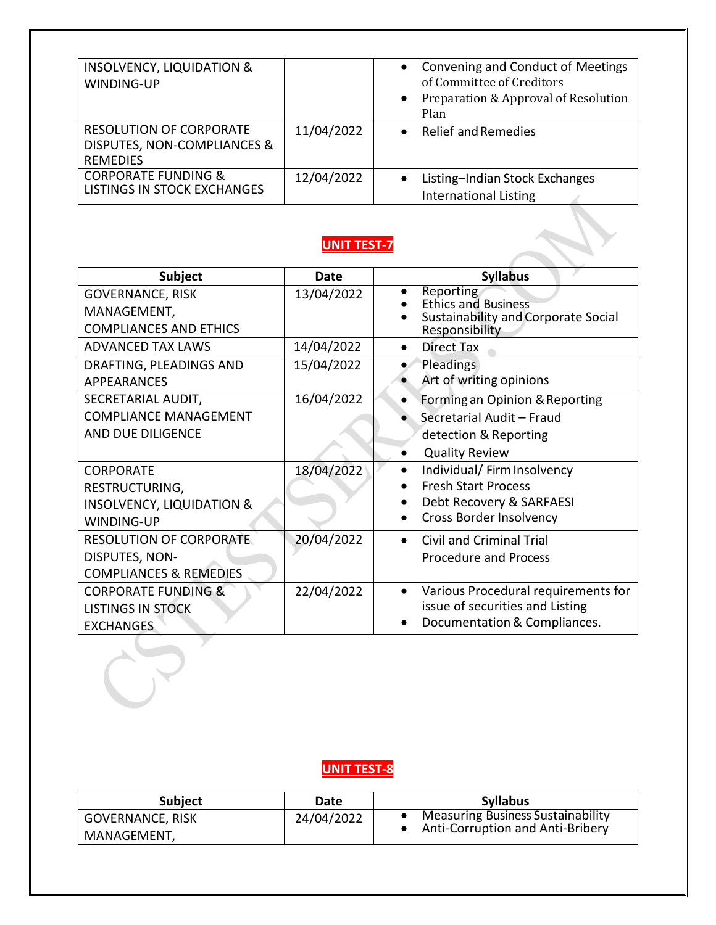| <b>INSOLVENCY, LIQUIDATION &amp;</b><br>WINDING-UP                               |            | • Convening and Conduct of Meetings<br>of Committee of Creditors<br>Preparation & Approval of Resolution<br>$\bullet$<br>Plan |
|----------------------------------------------------------------------------------|------------|-------------------------------------------------------------------------------------------------------------------------------|
| <b>RESOLUTION OF CORPORATE</b><br>DISPUTES, NON-COMPLIANCES &<br><b>REMEDIES</b> | 11/04/2022 | Relief and Remedies<br>$\bullet$                                                                                              |
| <b>CORPORATE FUNDING &amp;</b><br>LISTINGS IN STOCK EXCHANGES                    | 12/04/2022 | Listing-Indian Stock Exchanges<br><b>International Listing</b>                                                                |

| <b>Subject</b>                                                          | Date       | <b>Syllabus</b>                                                                                       |
|-------------------------------------------------------------------------|------------|-------------------------------------------------------------------------------------------------------|
| <b>GOVERNANCE, RISK</b><br>MANAGEMENT,<br><b>COMPLIANCES AND ETHICS</b> | 13/04/2022 | Reporting<br>٠<br><b>Ethics and Business</b><br>Sustainability and Corporate Social<br>Responsibility |
| <b>ADVANCED TAX LAWS</b>                                                | 14/04/2022 | <b>Direct Tax</b>                                                                                     |
| DRAFTING, PLEADINGS AND<br><b>APPEARANCES</b>                           | 15/04/2022 | Pleadings<br>Art of writing opinions                                                                  |
| SECRETARIAL AUDIT,                                                      | 16/04/2022 | Forming an Opinion & Reporting                                                                        |
| <b>COMPLIANCE MANAGEMENT</b>                                            |            | Secretarial Audit - Fraud                                                                             |
| AND DUE DILIGENCE                                                       |            | detection & Reporting                                                                                 |
|                                                                         |            | <b>Quality Review</b>                                                                                 |
| <b>CORPORATE</b>                                                        | 18/04/2022 | Individual/ Firm Insolvency<br>$\bullet$                                                              |
| RESTRUCTURING,                                                          |            | <b>Fresh Start Process</b>                                                                            |
| <b>INSOLVENCY, LIQUIDATION &amp;</b>                                    |            | Debt Recovery & SARFAESI                                                                              |
| <b>WINDING-UP</b>                                                       |            | <b>Cross Border Insolvency</b>                                                                        |
| <b>RESOLUTION OF CORPORATE</b>                                          | 20/04/2022 | Civil and Criminal Trial<br>$\bullet$                                                                 |
| DISPUTES, NON-                                                          |            | Procedure and Process                                                                                 |
| <b>COMPLIANCES &amp; REMEDIES</b>                                       |            |                                                                                                       |
| <b>CORPORATE FUNDING &amp;</b>                                          | 22/04/2022 | Various Procedural requirements for<br>$\bullet$                                                      |
| <b>LISTINGS IN STOCK</b>                                                |            | issue of securities and Listing                                                                       |
| <b>EXCHANGES</b>                                                        |            | Documentation & Compliances.                                                                          |

| <b>Subject</b>          | Date       | <b>Syllabus</b>                   |
|-------------------------|------------|-----------------------------------|
| <b>GOVERNANCE, RISK</b> | 24/04/2022 | Measuring Business Sustainability |
| MANAGEMENT,             |            | Anti-Corruption and Anti-Bribery  |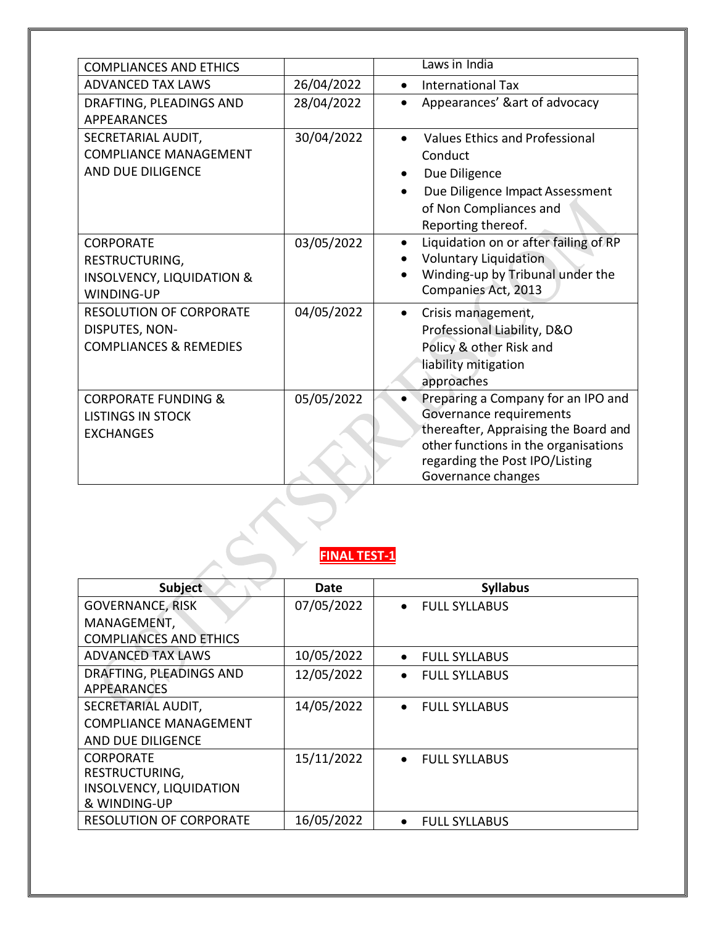| <b>COMPLIANCES AND ETHICS</b>                                                                   |                     | Laws in India                                                                                                                                                                                         |
|-------------------------------------------------------------------------------------------------|---------------------|-------------------------------------------------------------------------------------------------------------------------------------------------------------------------------------------------------|
| <b>ADVANCED TAX LAWS</b>                                                                        | 26/04/2022          | <b>International Tax</b><br>$\bullet$                                                                                                                                                                 |
| DRAFTING, PLEADINGS AND<br><b>APPEARANCES</b>                                                   | 28/04/2022          | Appearances' &art of advocacy<br>$\bullet$                                                                                                                                                            |
| SECRETARIAL AUDIT,<br><b>COMPLIANCE MANAGEMENT</b><br>AND DUE DILIGENCE                         | 30/04/2022          | Values Ethics and Professional<br>$\bullet$<br>Conduct<br>Due Diligence<br>Due Diligence Impact Assessment<br>of Non Compliances and<br>Reporting thereof.                                            |
| <b>CORPORATE</b><br>RESTRUCTURING,<br><b>INSOLVENCY, LIQUIDATION &amp;</b><br><b>WINDING-UP</b> | 03/05/2022          | Liquidation on or after failing of RP<br>$\bullet$<br><b>Voluntary Liquidation</b><br>Winding-up by Tribunal under the<br>Companies Act, 2013                                                         |
| <b>RESOLUTION OF CORPORATE</b><br>DISPUTES, NON-<br><b>COMPLIANCES &amp; REMEDIES</b>           | 04/05/2022          | Crisis management,<br>$\bullet$<br>Professional Liability, D&O<br>Policy & other Risk and<br>liability mitigation<br>approaches                                                                       |
| <b>CORPORATE FUNDING &amp;</b><br><b>LISTINGS IN STOCK</b><br><b>EXCHANGES</b>                  | 05/05/2022          | Preparing a Company for an IPO and<br>Governance requirements<br>thereafter, Appraising the Board and<br>other functions in the organisations<br>regarding the Post IPO/Listing<br>Governance changes |
|                                                                                                 | <b>FINAL TEST-1</b> |                                                                                                                                                                                                       |

# **FINAL TEST-1**

| <b>Subject</b>                 | Date       | <b>Syllabus</b>                   |
|--------------------------------|------------|-----------------------------------|
| <b>GOVERNANCE, RISK</b>        | 07/05/2022 | <b>FULL SYLLABUS</b><br>$\bullet$ |
| MANAGEMENT,                    |            |                                   |
| <b>COMPLIANCES AND ETHICS</b>  |            |                                   |
| <b>ADVANCED TAX LAWS</b>       | 10/05/2022 | <b>FULL SYLLABUS</b><br>$\bullet$ |
| DRAFTING, PLEADINGS AND        | 12/05/2022 | <b>FULL SYLLABUS</b><br>$\bullet$ |
| APPEARANCES                    |            |                                   |
| SECRETARIAL AUDIT,             | 14/05/2022 | <b>FULL SYLLABUS</b><br>$\bullet$ |
| <b>COMPLIANCE MANAGEMENT</b>   |            |                                   |
| AND DUE DILIGENCE              |            |                                   |
| <b>CORPORATE</b>               | 15/11/2022 | <b>FULL SYLLABUS</b><br>$\bullet$ |
| RESTRUCTURING,                 |            |                                   |
| INSOLVENCY, LIQUIDATION        |            |                                   |
| & WINDING-UP                   |            |                                   |
| <b>RESOLUTION OF CORPORATE</b> | 16/05/2022 | <b>FULL SYLLABUS</b><br>$\bullet$ |